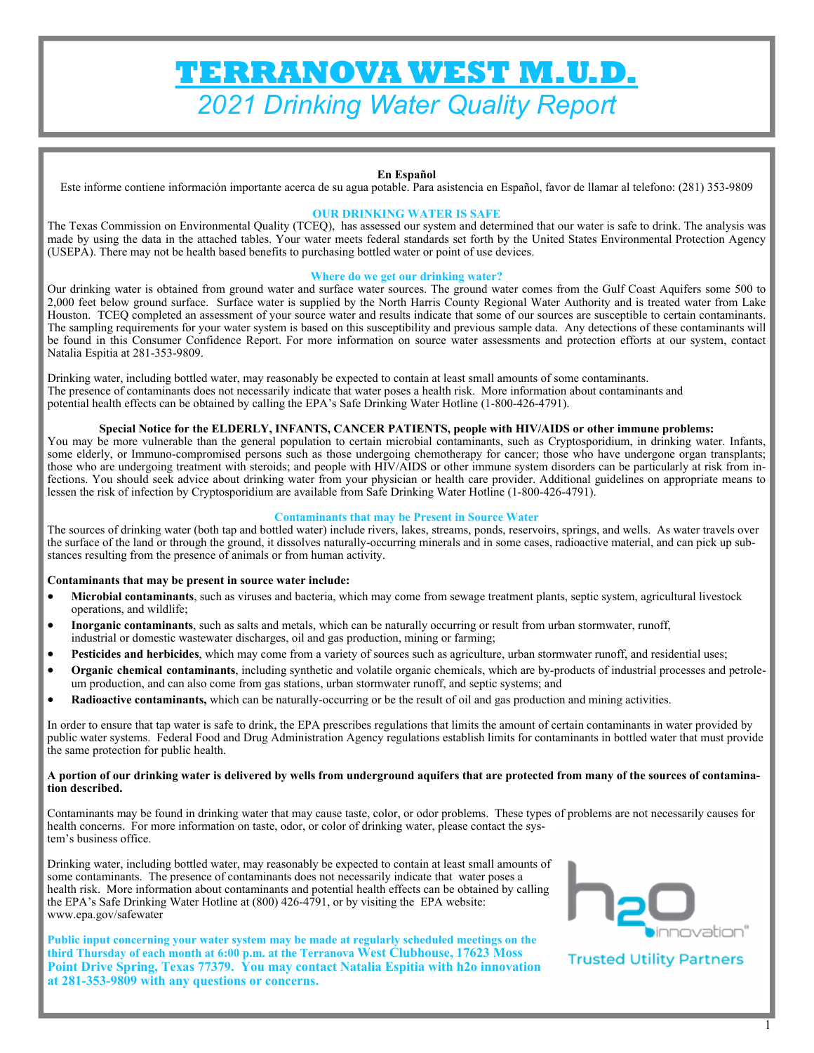# **TERRANOVA WEST M.U.D.**  *2021 Drinking Water Quality Report*

#### **En Español**

Este informe contiene información importante acerca de su agua potable. Para asistencia en Español, favor de llamar al telefono: (281) 353-9809

#### **OUR DRINKING WATER IS SAFE**

The Texas Commission on Environmental Quality (TCEQ), has assessed our system and determined that our water is safe to drink. The analysis was made by using the data in the attached tables. Your water meets federal standards set forth by the United States Environmental Protection Agency (USEPA). There may not be health based benefits to purchasing bottled water or point of use devices.

#### **Where do we get our drinking water?**

Our drinking water is obtained from ground water and surface water sources. The ground water comes from the Gulf Coast Aquifers some 500 to 2,000 feet below ground surface. Surface water is supplied by the North Harris County Regional Water Authority and is treated water from Lake Houston. TCEQ completed an assessment of your source water and results indicate that some of our sources are susceptible to certain contaminants. The sampling requirements for your water system is based on this susceptibility and previous sample data. Any detections of these contaminants will be found in this Consumer Confidence Report. For more information on source water assessments and protection efforts at our system, contact Natalia Espitia at 281-353-9809.

Drinking water, including bottled water, may reasonably be expected to contain at least small amounts of some contaminants. The presence of contaminants does not necessarily indicate that water poses a health risk. More information about contaminants and potential health effects can be obtained by calling the EPA's Safe Drinking Water Hotline (1-800-426-4791).

#### **Special Notice for the ELDERLY, INFANTS, CANCER PATIENTS, people with HIV/AIDS or other immune problems:**

You may be more vulnerable than the general population to certain microbial contaminants, such as Cryptosporidium, in drinking water. Infants, some elderly, or Immuno-compromised persons such as those undergoing chemotherapy for cancer; those who have undergone organ transplants; those who are undergoing treatment with steroids; and people with HIV/AIDS or other immune system disorders can be particularly at risk from infections. You should seek advice about drinking water from your physician or health care provider. Additional guidelines on appropriate means to lessen the risk of infection by Cryptosporidium are available from Safe Drinking Water Hotline (1-800-426-4791).

#### **Contaminants that may be Present in Source Water**

The sources of drinking water (both tap and bottled water) include rivers, lakes, streams, ponds, reservoirs, springs, and wells. As water travels over the surface of the land or through the ground, it dissolves naturally-occurring minerals and in some cases, radioactive material, and can pick up substances resulting from the presence of animals or from human activity.

#### **Contaminants that may be present in source water include:**

- **Microbial contaminants**, such as viruses and bacteria, which may come from sewage treatment plants, septic system, agricultural livestock operations, and wildlife;
- **Inorganic contaminants**, such as salts and metals, which can be naturally occurring or result from urban stormwater, runoff, industrial or domestic wastewater discharges, oil and gas production, mining or farming;
- Pesticides and herbicides, which may come from a variety of sources such as agriculture, urban stormwater runoff, and residential uses;
- **Organic chemical contaminants**, including synthetic and volatile organic chemicals, which are by-products of industrial processes and petroleum production, and can also come from gas stations, urban stormwater runoff, and septic systems; and
- **Radioactive contaminants,** which can be naturally-occurring or be the result of oil and gas production and mining activities.

In order to ensure that tap water is safe to drink, the EPA prescribes regulations that limits the amount of certain contaminants in water provided by public water systems. Federal Food and Drug Administration Agency regulations establish limits for contaminants in bottled water that must provide the same protection for public health.

#### **A portion of our drinking water is delivered by wells from underground aquifers that are protected from many of the sources of contamination described.**

Contaminants may be found in drinking water that may cause taste, color, or odor problems. These types of problems are not necessarily causes for health concerns. For more information on taste, odor, or color of drinking water, please contact the system's business office.

Drinking water, including bottled water, may reasonably be expected to contain at least small amounts of some contaminants. The presence of contaminants does not necessarily indicate that water poses a health risk. More information about contaminants and potential health effects can be obtained by calling the EPA's Safe Drinking Water Hotline at (800) 426-4791, or by visiting the EPA website: www.epa.gov/safewater

**Public input concerning your water system may be made at regularly scheduled meetings on the third Thursday of each month at 6:00 p.m. at the Terranova West Clubhouse, 17623 Moss Point Drive Spring, Texas 77379. You may contact Natalia Espitia with h2o innovation at 281-353-9809 with any questions or concerns.** 



**Trusted Utility Partners**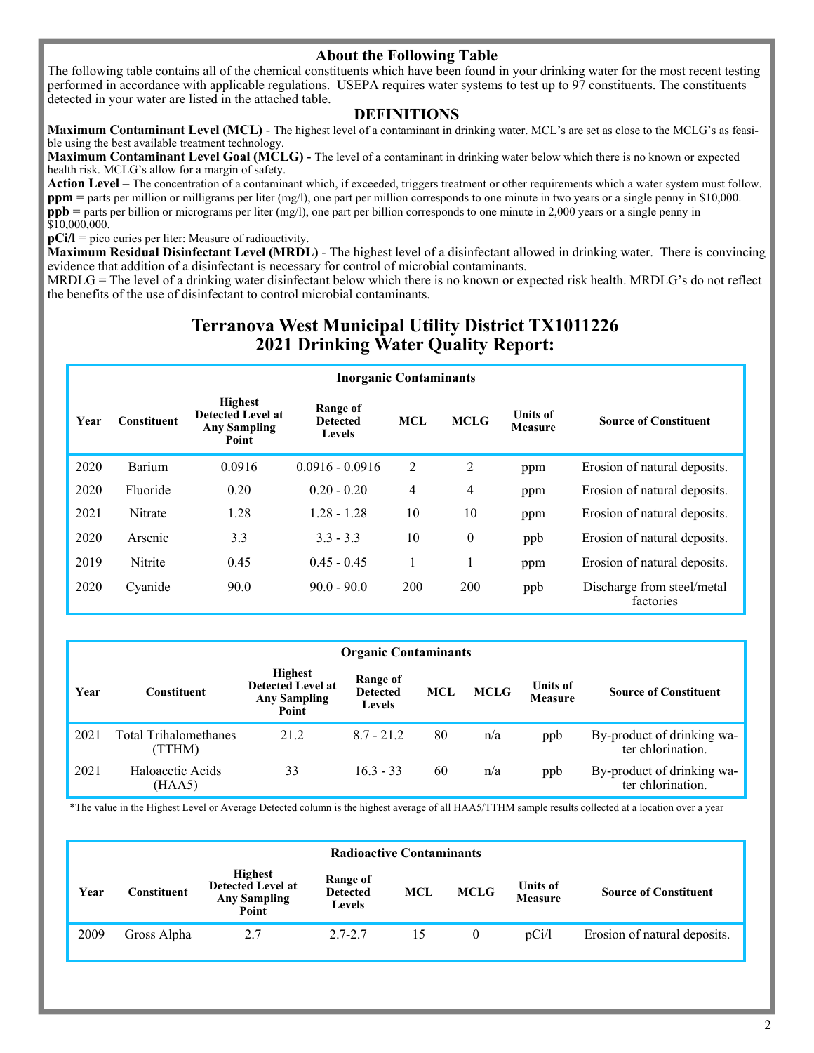## **About the Following Table**

The following table contains all of the chemical constituents which have been found in your drinking water for the most recent testing performed in accordance with applicable regulations. USEPA requires water systems to test up to 97 constituents. The constituents detected in your water are listed in the attached table.

### **DEFINITIONS**

**Maximum Contaminant Level (MCL)** - The highest level of a contaminant in drinking water. MCL's are set as close to the MCLG's as feasible using the best available treatment technology.

**Maximum Contaminant Level Goal (MCLG)** - The level of a contaminant in drinking water below which there is no known or expected health risk. MCLG's allow for a margin of safety.

**Action Level** – The concentration of a contaminant which, if exceeded, triggers treatment or other requirements which a water system must follow. **ppm** = parts per million or milligrams per liter (mg/l), one part per million corresponds to one minute in two years or a single penny in \$10,000. **ppb** = parts per billion or micrograms per liter (mg/l), one part per billion corresponds to one minute in 2,000 years or a single penny in \$10,000,000.

**pCi/l** = pico curies per liter: Measure of radioactivity.

**Maximum Residual Disinfectant Level (MRDL)** - The highest level of a disinfectant allowed in drinking water. There is convincing evidence that addition of a disinfectant is necessary for control of microbial contaminants.

MRDLG = The level of a drinking water disinfectant below which there is no known or expected risk health. MRDLG's do not reflect the benefits of the use of disinfectant to control microbial contaminants.

# **Terranova West Municipal Utility District TX1011226 2021 Drinking Water Quality Report:**

|      | <b>Inorganic Contaminants</b> |                                                                            |                                       |                |             |                                   |                                         |  |  |  |  |
|------|-------------------------------|----------------------------------------------------------------------------|---------------------------------------|----------------|-------------|-----------------------------------|-----------------------------------------|--|--|--|--|
| Year | <b>Constituent</b>            | <b>Highest</b><br><b>Detected Level at</b><br><b>Any Sampling</b><br>Point | Range of<br><b>Detected</b><br>Levels | <b>MCL</b>     | <b>MCLG</b> | <b>Units of</b><br><b>Measure</b> | <b>Source of Constituent</b>            |  |  |  |  |
| 2020 | Barium                        | 0.0916                                                                     | $0.0916 - 0.0916$                     | 2              | 2           | ppm                               | Erosion of natural deposits.            |  |  |  |  |
| 2020 | Fluoride                      | 0.20                                                                       | $0.20 - 0.20$                         | $\overline{4}$ | 4           | ppm                               | Erosion of natural deposits.            |  |  |  |  |
| 2021 | Nitrate                       | 1.28                                                                       | $1.28 - 1.28$                         | 10             | 10          | ppm                               | Erosion of natural deposits.            |  |  |  |  |
| 2020 | Arsenic                       | 3.3                                                                        | $3.3 - 3.3$                           | 10             | $\theta$    | ppb                               | Erosion of natural deposits.            |  |  |  |  |
| 2019 | Nitrite                       | 0.45                                                                       | $0.45 - 0.45$                         | 1              |             | ppm                               | Erosion of natural deposits.            |  |  |  |  |
| 2020 | Cyanide                       | 90.0                                                                       | $90.0 - 90.0$                         | 200            | 200         | ppb                               | Discharge from steel/metal<br>factories |  |  |  |  |

|      |                                 |                                                                            | <b>Organic Contaminants</b>                  |     |             |                                   |                                                 |
|------|---------------------------------|----------------------------------------------------------------------------|----------------------------------------------|-----|-------------|-----------------------------------|-------------------------------------------------|
| Year | <b>Constituent</b>              | <b>Highest</b><br><b>Detected Level at</b><br><b>Any Sampling</b><br>Point | Range of<br><b>Detected</b><br><b>Levels</b> | MCL | <b>MCLG</b> | <b>Units of</b><br><b>Measure</b> | <b>Source of Constituent</b>                    |
| 2021 | Total Trihalomethanes<br>(TTHM) | 21.2                                                                       | $8.7 - 21.2$                                 | 80  | n/a         | ppb                               | By-product of drinking wa-<br>ter chlorination. |
| 2021 | Haloacetic Acids<br>(HAA5)      | 33                                                                         | $16.3 - 33$                                  | 60  | n/a         | ppb                               | By-product of drinking wa-<br>ter chlorination. |

\*The value in the Highest Level or Average Detected column is the highest average of all HAA5/TTHM sample results collected at a location over a year

|      | <b>Radioactive Contaminants</b> |                                                                            |                                       |            |             |                                   |                              |  |  |  |
|------|---------------------------------|----------------------------------------------------------------------------|---------------------------------------|------------|-------------|-----------------------------------|------------------------------|--|--|--|
| Year | Constituent                     | <b>Highest</b><br><b>Detected Level at</b><br><b>Any Sampling</b><br>Point | Range of<br><b>Detected</b><br>Levels | <b>MCL</b> | <b>MCLG</b> | <b>Units of</b><br><b>Measure</b> | <b>Source of Constituent</b> |  |  |  |
| 2009 | Gross Alpha                     | 2.7                                                                        | $2.7 - 2.7$                           | 15         |             | pCi/l                             | Erosion of natural deposits. |  |  |  |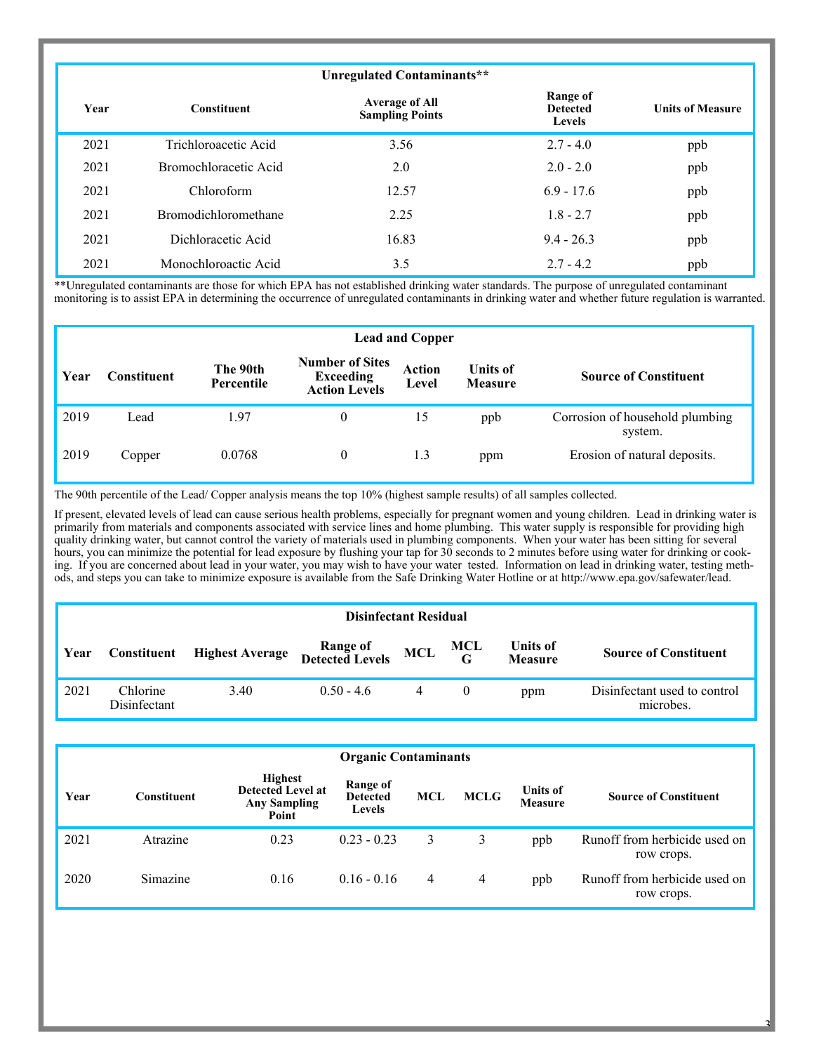|      |                             | Unregulated Contaminants**                      |                                              |                         |
|------|-----------------------------|-------------------------------------------------|----------------------------------------------|-------------------------|
| Year | <b>Constituent</b>          | <b>Average of All</b><br><b>Sampling Points</b> | Range of<br><b>Detected</b><br><b>Levels</b> | <b>Units of Measure</b> |
| 2021 | Trichloroacetic Acid        | 3.56                                            | $2.7 - 4.0$                                  | ppb                     |
| 2021 | Bromochloracetic Acid       | 2.0                                             | $2.0 - 2.0$                                  | ppb                     |
| 2021 | Chloroform                  | 12.57                                           | $6.9 - 17.6$                                 | ppb                     |
| 2021 | <b>Bromodichloromethane</b> | 2.25                                            | $1.8 - 2.7$                                  | ppb                     |
| 2021 | Dichloracetic Acid          | 16.83                                           | $9.4 - 26.3$                                 | ppb                     |
| 2021 | Monochloroactic Acid        | 3.5                                             | $2.7 - 4.2$                                  | ppb                     |

\*\*Unregulated contaminants are those for which EPA has not established drinking water standards. The purpose of unregulated contaminant monitoring is to assist EPA in determining the occurrence of unregulated contaminants in drinking water and whether future regulation is warranted.

|      | <b>Lead and Copper</b> |                        |                                                                    |                        |                                   |                                            |  |  |  |  |
|------|------------------------|------------------------|--------------------------------------------------------------------|------------------------|-----------------------------------|--------------------------------------------|--|--|--|--|
| Year | <b>Constituent</b>     | The 90th<br>Percentile | <b>Number of Sites</b><br><b>Exceeding</b><br><b>Action Levels</b> | <b>Action</b><br>Level | <b>Units of</b><br><b>Measure</b> | <b>Source of Constituent</b>               |  |  |  |  |
| 2019 | Lead                   | 1.97                   | $\theta$                                                           | 15                     | ppb                               | Corrosion of household plumbing<br>system. |  |  |  |  |
| 2019 | Copper                 | 0.0768                 | $\theta$                                                           | 1.3                    | ppm                               | Erosion of natural deposits.               |  |  |  |  |

The 90th percentile of the Lead/ Copper analysis means the top 10% (highest sample results) of all samples collected.

If present, elevated levels of lead can cause serious health problems, especially for pregnant women and young children. Lead in drinking water is primarily from materials and components associated with service lines and home plumbing. This water supply is responsible for providing high quality drinking water, but cannot control the variety of materials used in plumbing components. When your water has been sitting for several hours, you can minimize the potential for lead exposure by flushing your tap for 30 seconds to 2 minutes before using water for drinking or cooking. If you are concerned about lead in your water, you may wish to have your water tested. Information on lead in drinking water, testing methods, and steps you can take to minimize exposure is available from the Safe Drinking Water Hotline or at http://www.epa.gov/safewater/lead.

|              | <b>Disinfectant Residual</b> |                        |                                     |  |          |                            |                                           |  |  |
|--------------|------------------------------|------------------------|-------------------------------------|--|----------|----------------------------|-------------------------------------------|--|--|
| <b>∣Year</b> | Constituent                  | <b>Highest Average</b> | Range of MCL<br>Detected Levels MCL |  | MCL<br>G | Units of<br><b>Measure</b> | <b>Source of Constituent</b>              |  |  |
| 2021         | Chlorine<br>Disinfectant     | 3.40                   | $0.50 - 4.6$                        |  | $\bf{0}$ | ppm                        | Disinfectant used to control<br>microbes. |  |  |

|      | <b>Organic Contaminants</b> |                                                                            |                                       |     |             |                                   |                                             |  |  |  |
|------|-----------------------------|----------------------------------------------------------------------------|---------------------------------------|-----|-------------|-----------------------------------|---------------------------------------------|--|--|--|
| Year | Constituent                 | <b>Highest</b><br><b>Detected Level at</b><br><b>Any Sampling</b><br>Point | Range of<br><b>Detected</b><br>Levels | MCL | <b>MCLG</b> | <b>Units of</b><br><b>Measure</b> | <b>Source of Constituent</b>                |  |  |  |
| 2021 | Atrazine                    | 0.23                                                                       | $0.23 - 0.23$                         | 3   | 3           | ppb                               | Runoff from herbicide used on<br>row crops. |  |  |  |
| 2020 | Simazine                    | 0.16                                                                       | $0.16 - 0.16$                         | 4   | 4           | ppb                               | Runoff from herbicide used on<br>row crops. |  |  |  |

 $\overline{\mathbf{a}}$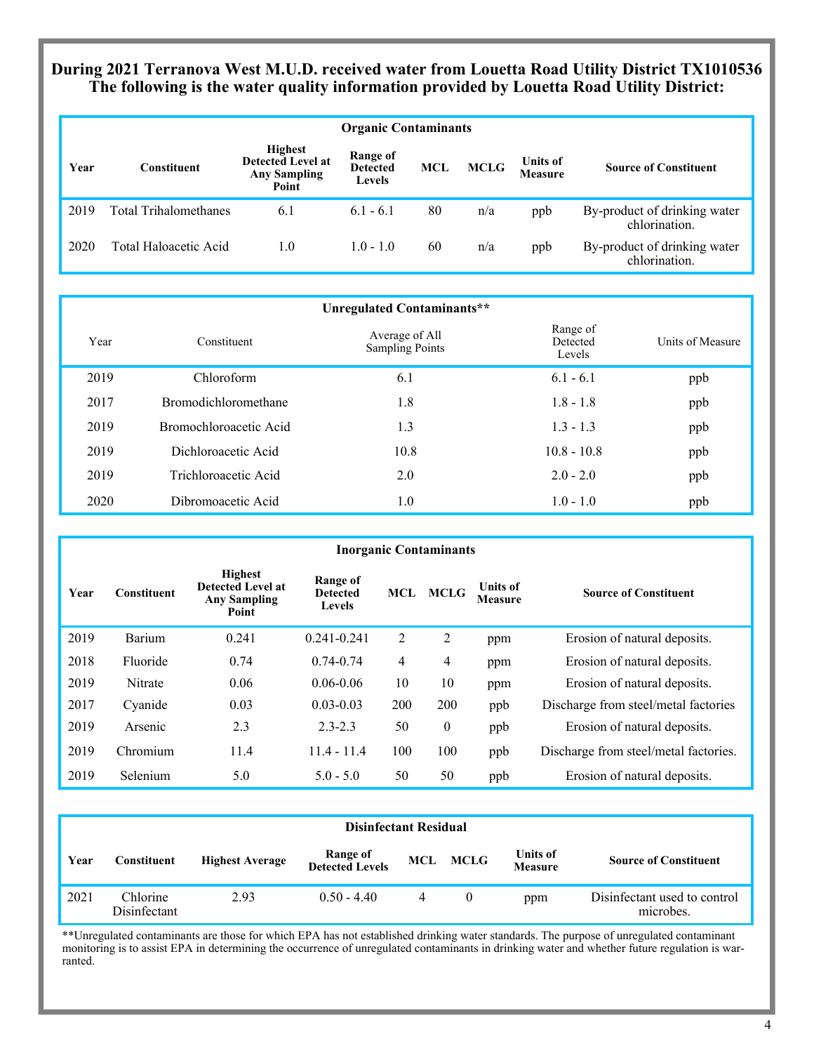# **During 2021 Terranova West M.U.D. received water from Louetta Road Utility District TX1010536 The following is the water quality information provided by Louetta Road Utility District:**

|      | <b>Organic Contaminants</b> |                                                                            |                                              |     |             |                            |                                               |  |  |  |
|------|-----------------------------|----------------------------------------------------------------------------|----------------------------------------------|-----|-------------|----------------------------|-----------------------------------------------|--|--|--|
| Year | <b>Constituent</b>          | <b>Highest</b><br><b>Detected Level at</b><br><b>Any Sampling</b><br>Point | Range of<br><b>Detected</b><br><b>Levels</b> | MCL | <b>MCLG</b> | <b>Units of</b><br>Measure | <b>Source of Constituent</b>                  |  |  |  |
| 2019 | Total Trihalomethanes       | 6.1                                                                        | $6.1 - 6.1$                                  | 80  | n/a         | ppb                        | By-product of drinking water<br>chlorination. |  |  |  |
| 2020 | Total Haloacetic Acid       | 1.0                                                                        | $1.0 - 1.0$                                  | 60  | n/a         | ppb                        | By-product of drinking water<br>chlorination. |  |  |  |

|      |                             | Unregulated Contaminants**               |                                |                  |
|------|-----------------------------|------------------------------------------|--------------------------------|------------------|
| Year | Constituent                 | Average of All<br><b>Sampling Points</b> | Range of<br>Detected<br>Levels | Units of Measure |
| 2019 | Chloroform                  | 6.1                                      | $6.1 - 6.1$                    | ppb              |
| 2017 | <b>Bromodichloromethane</b> | 1.8                                      | $1.8 - 1.8$                    | ppb              |
| 2019 | Bromochloroacetic Acid      | 1.3                                      | $1.3 - 1.3$                    | ppb              |
| 2019 | Dichloroacetic Acid         | 10.8                                     | $10.8 - 10.8$                  | ppb              |
| 2019 | Trichloroacetic Acid        | 2.0                                      | $2.0 - 2.0$                    | ppb              |
| 2020 | Dibromoacetic Acid          | 1.0                                      | $1.0 - 1.0$                    | ppb              |

|      |                    |                                                                            |                                       |     | <b>Inorganic Contaminants</b> |                                   |                                       |
|------|--------------------|----------------------------------------------------------------------------|---------------------------------------|-----|-------------------------------|-----------------------------------|---------------------------------------|
| Year | <b>Constituent</b> | <b>Highest</b><br><b>Detected Level at</b><br><b>Any Sampling</b><br>Point | Range of<br><b>Detected</b><br>Levels | MCL | <b>MCLG</b>                   | <b>Units of</b><br><b>Measure</b> | <b>Source of Constituent</b>          |
| 2019 | Barium             | 0.241                                                                      | $0.241 - 0.241$                       | 2   | 2                             | ppm                               | Erosion of natural deposits.          |
| 2018 | Fluoride           | 0.74                                                                       | $0.74 - 0.74$                         | 4   | 4                             | ppm                               | Erosion of natural deposits.          |
| 2019 | Nitrate            | 0.06                                                                       | $0.06 - 0.06$                         | 10  | 10                            | ppm                               | Erosion of natural deposits.          |
| 2017 | Cyanide            | 0.03                                                                       | $0.03 - 0.03$                         | 200 | 200                           | ppb                               | Discharge from steel/metal factories  |
| 2019 | Arsenic            | 2.3                                                                        | $2.3 - 2.3$                           | 50  | $\mathbf{0}$                  | ppb                               | Erosion of natural deposits.          |
| 2019 | Chromium           | 11.4                                                                       | $11.4 - 11.4$                         | 100 | 100                           | ppb                               | Discharge from steel/metal factories. |
| 2019 | Selenium           | 5.0                                                                        | $5.0 - 5.0$                           | 50  | 50                            | ppb                               | Erosion of natural deposits.          |

|      | <b>Disinfectant Residual</b> |                        |                             |  |          |                                   |                                           |  |  |
|------|------------------------------|------------------------|-----------------------------|--|----------|-----------------------------------|-------------------------------------------|--|--|
| Year | <b>Constituent</b>           | <b>Highest Average</b> | Range of<br>Detected Levels |  | MCL MCLG | <b>Units of</b><br><b>Measure</b> | <b>Source of Constituent</b>              |  |  |
| 2021 | Chlorine<br>Disinfectant     | 2.93                   | $0.50 - 4.40$               |  | 0        | ppm                               | Disinfectant used to control<br>microbes. |  |  |

\*\*Unregulated contaminants are those for which EPA has not established drinking water standards. The purpose of unregulated contaminant monitoring is to assist EPA in determining the occurrence of unregulated contaminants in drinking water and whether future regulation is warranted.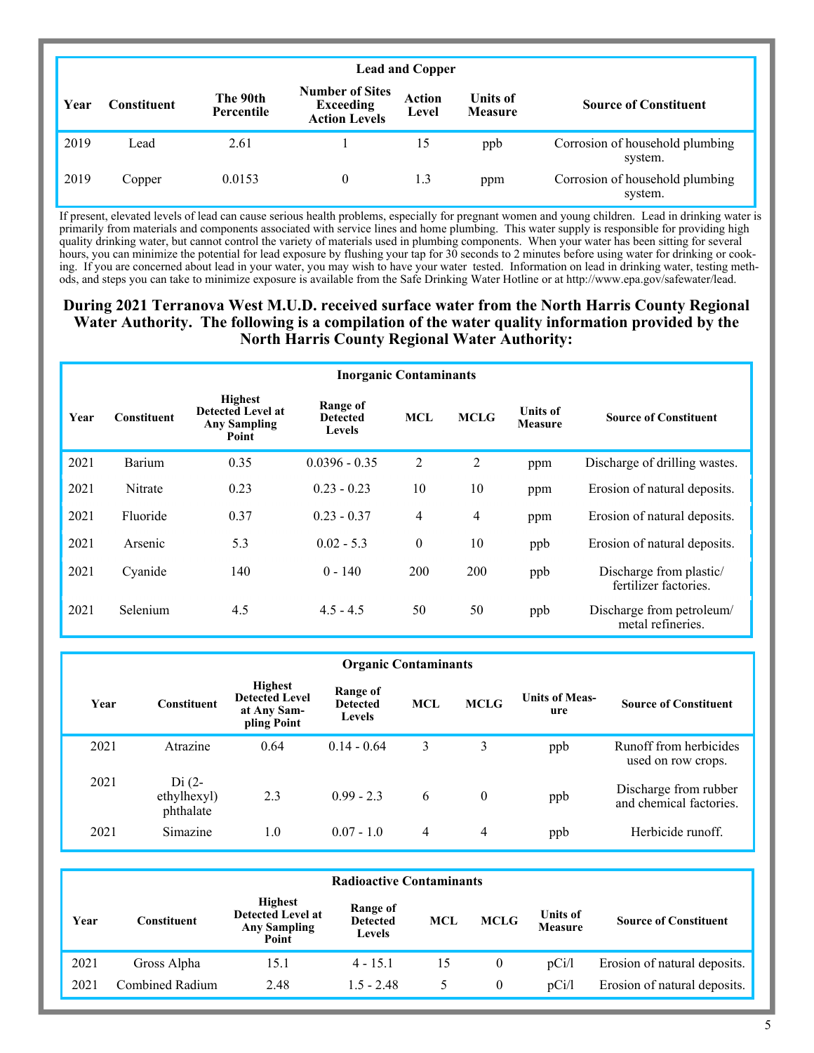|      | <b>Lead and Copper</b> |                        |                                                                    |                        |                                   |                                            |  |  |  |  |
|------|------------------------|------------------------|--------------------------------------------------------------------|------------------------|-----------------------------------|--------------------------------------------|--|--|--|--|
| Year | <b>Constituent</b>     | The 90th<br>Percentile | <b>Number of Sites</b><br><b>Exceeding</b><br><b>Action Levels</b> | <b>Action</b><br>Level | <b>Units of</b><br><b>Measure</b> | <b>Source of Constituent</b>               |  |  |  |  |
| 2019 | Lead                   | 2.61                   |                                                                    | 15                     | ppb                               | Corrosion of household plumbing<br>system. |  |  |  |  |
| 2019 | Copper                 | 0.0153                 | $\theta$                                                           | 1.3                    | ppm                               | Corrosion of household plumbing<br>system. |  |  |  |  |

If present, elevated levels of lead can cause serious health problems, especially for pregnant women and young children. Lead in drinking water is primarily from materials and components associated with service lines and home plumbing. This water supply is responsible for providing high quality drinking water, but cannot control the variety of materials used in plumbing components. When your water has been sitting for several hours, you can minimize the potential for lead exposure by flushing your tap for 30 seconds to 2 minutes before using water for drinking or cooking. If you are concerned about lead in your water, you may wish to have your water tested. Information on lead in drinking water, testing methods, and steps you can take to minimize exposure is available from the Safe Drinking Water Hotline or at http://www.epa.gov/safewater/lead.

## **During 2021 Terranova West M.U.D. received surface water from the North Harris County Regional Water Authority. The following is a compilation of the water quality information provided by the North Harris County Regional Water Authority:**

| <b>Inorganic Contaminants</b> |                    |                                                                            |                                       |                |             |                                   |                                                  |  |  |
|-------------------------------|--------------------|----------------------------------------------------------------------------|---------------------------------------|----------------|-------------|-----------------------------------|--------------------------------------------------|--|--|
| Year                          | <b>Constituent</b> | <b>Highest</b><br><b>Detected Level at</b><br><b>Any Sampling</b><br>Point | Range of<br><b>Detected</b><br>Levels | <b>MCL</b>     | <b>MCLG</b> | <b>Units of</b><br><b>Measure</b> | <b>Source of Constituent</b>                     |  |  |
| 2021                          | Barium             | 0.35                                                                       | $0.0396 - 0.35$                       | 2              | 2           | ppm                               | Discharge of drilling wastes.                    |  |  |
| 2021                          | Nitrate            | 0.23                                                                       | $0.23 - 0.23$                         | 10             | 10          | ppm                               | Erosion of natural deposits.                     |  |  |
| 2021                          | Fluoride           | 0.37                                                                       | $0.23 - 0.37$                         | $\overline{4}$ | 4           | ppm                               | Erosion of natural deposits.                     |  |  |
| 2021                          | Arsenic            | 5.3                                                                        | $0.02 - 5.3$                          | $\theta$       | 10          | ppb                               | Erosion of natural deposits.                     |  |  |
| 2021                          | Cyanide            | 140                                                                        | $0 - 140$                             | 200            | 200         | ppb                               | Discharge from plastic/<br>fertilizer factories. |  |  |
| 2021                          | Selenium           | 4.5                                                                        | $4.5 - 4.5$                           | 50             | 50          | ppb                               | Discharge from petroleum/<br>metal refineries.   |  |  |

| <b>Organic Contaminants</b> |                                     |                                                                       |                                              |            |              |                              |                                                  |  |  |
|-----------------------------|-------------------------------------|-----------------------------------------------------------------------|----------------------------------------------|------------|--------------|------------------------------|--------------------------------------------------|--|--|
| Year                        | <b>Constituent</b>                  | <b>Highest</b><br><b>Detected Level</b><br>at Any Sam-<br>pling Point | Range of<br><b>Detected</b><br><b>Levels</b> | <b>MCL</b> | <b>MCLG</b>  | <b>Units of Meas-</b><br>ure | <b>Source of Constituent</b>                     |  |  |
| 2021                        | Atrazine                            | 0.64                                                                  | $0.14 - 0.64$                                | 3          | 3            | ppb                          | Runoff from herbicides<br>used on row crops.     |  |  |
| 2021                        | $Di(2-$<br>ethylhexyl)<br>phthalate | 2.3                                                                   | $0.99 - 2.3$                                 | 6          | $\mathbf{0}$ | ppb                          | Discharge from rubber<br>and chemical factories. |  |  |
| 2021                        | Simazine                            | $1.0\,$                                                               | $0.07 - 1.0$                                 | 4          | 4            | ppb                          | Herbicide runoff.                                |  |  |

| <b>Radioactive Contaminants</b> |                     |                                                                            |                                       |     |             |                                   |                              |  |  |
|---------------------------------|---------------------|----------------------------------------------------------------------------|---------------------------------------|-----|-------------|-----------------------------------|------------------------------|--|--|
| Year                            | C <b>onstituent</b> | <b>Highest</b><br><b>Detected Level at</b><br><b>Any Sampling</b><br>Point | Range of<br><b>Detected</b><br>Levels | MCL | <b>MCLG</b> | <b>Units of</b><br><b>Measure</b> | <b>Source of Constituent</b> |  |  |
| 2021                            | Gross Alpha         | 15.1                                                                       | $4 - 15.1$                            | 15  | 0           | pCi/l                             | Erosion of natural deposits. |  |  |
| 2021                            | Combined Radium     | 2.48                                                                       | $1.5 - 2.48$                          |     | 0           | pCi/l                             | Erosion of natural deposits. |  |  |